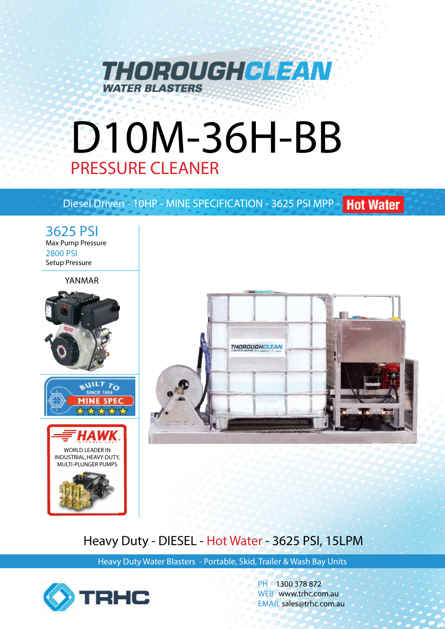

# D10M-36H-BB PRESSURE CLEANER

# Diesel Driven - 10HP - MINE SPECIFICATION - 3625 PSI MPP - Hot Water

3625 PSI Max Pump Pressure 2800 PSI Setup Pressure

YANMAR





# Heavy Duty - DIESEL - Hot Water - 3625 PSI, 15LPM

Heavy Duty Water Blasters - Portable, Skid, Trailer & Wash Bay Units



PH 1300 378 872 WEB www.trhc.com.au EMAIL sales@trhc.com.au